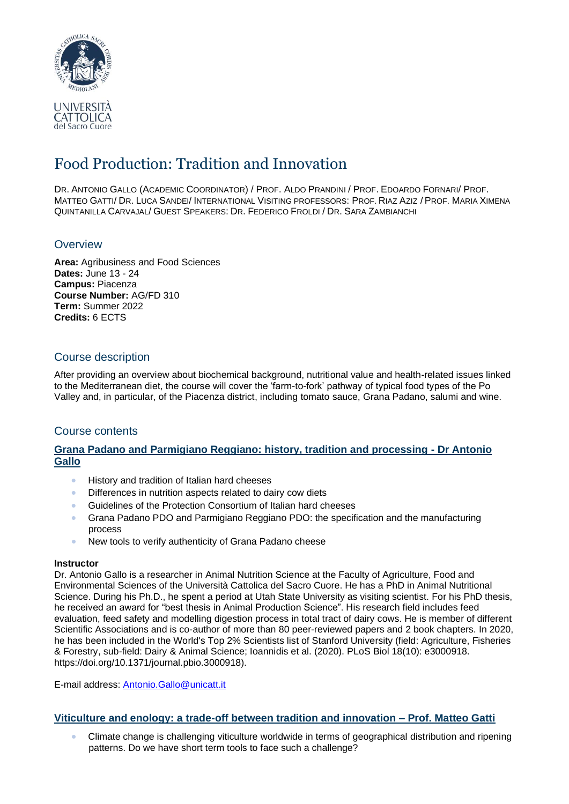

# Food Production: Tradition and Innovation

DR. ANTONIO GALLO (ACADEMIC COORDINATOR) / PROF. ALDO PRANDINI / PROF. EDOARDO FORNARI/ PROF. MATTEO GATTI/ DR. LUCA SANDEI/ INTERNATIONAL VISITING PROFESSORS: PROF. RIAZ AZIZ / PROF. MARIA XIMENA QUINTANILLA CARVAJAL/ GUEST SPEAKERS: DR. FEDERICO FROLDI / DR. SARA ZAMBIANCHI

## **Overview**

**Area:** Agribusiness and Food Sciences **Dates:** June 13 - 24 **Campus:** Piacenza **Course Number:** AG/FD 310 **Term:** Summer 2022 **Credits:** 6 ECTS

## Course description

After providing an overview about biochemical background, nutritional value and health-related issues linked to the Mediterranean diet, the course will cover the 'farm-to-fork' pathway of typical food types of the Po Valley and, in particular, of the Piacenza district, including tomato sauce, Grana Padano, salumi and wine.

## Course contents

## **Grana Padano and Parmigiano Reggiano: history, tradition and processing - Dr Antonio Gallo**

- History and tradition of Italian hard cheeses
- Differences in nutrition aspects related to dairy cow diets
- Guidelines of the Protection Consortium of Italian hard cheeses
- Grana Padano PDO and Parmigiano Reggiano PDO: the specification and the manufacturing process
- New tools to verify authenticity of Grana Padano cheese

#### **Instructor**

Dr. Antonio Gallo is a researcher in Animal Nutrition Science at the Faculty of Agriculture, Food and Environmental Sciences of the Università Cattolica del Sacro Cuore. He has a PhD in Animal Nutritional Science. During his Ph.D., he spent a period at Utah State University as visiting scientist. For his PhD thesis, he received an award for "best thesis in Animal Production Science". His research field includes feed evaluation, feed safety and modelling digestion process in total tract of dairy cows. He is member of different Scientific Associations and is co-author of more than 80 peer-reviewed papers and 2 book chapters. In 2020, he has been included in the World's Top 2% Scientists list of Stanford University (field: Agriculture, Fisheries & Forestry, sub-field: Dairy & Animal Science; Ioannidis et al. (2020). PLoS Biol 18(10): e3000918. https://doi.org/10.1371/journal.pbio.3000918).

E-mail address: [Antonio.Gallo@unicatt.it](mailto:Antonio.Gallo@unicatt.it)

## **Viticulture and enology: a trade-off between tradition and innovation – Prof. Matteo Gatti**

• Climate change is challenging viticulture worldwide in terms of geographical distribution and ripening patterns. Do we have short term tools to face such a challenge?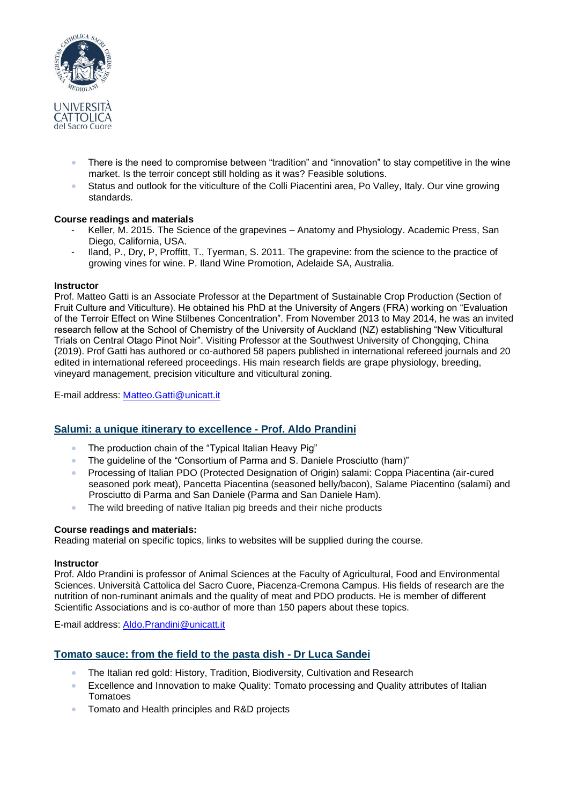

- There is the need to compromise between "tradition" and "innovation" to stay competitive in the wine market. Is the terroir concept still holding as it was? Feasible solutions.
- Status and outlook for the viticulture of the Colli Piacentini area, Po Valley, Italy. Our vine growing standards.

#### **Course readings and materials**

- Keller, M. 2015. The Science of the grapevines Anatomy and Physiology. Academic Press, San Diego, California, USA.
- Iland, P., Dry, P, Proffitt, T., Tyerman, S. 2011. The grapevine: from the science to the practice of growing vines for wine. P. Iland Wine Promotion, Adelaide SA, Australia.

#### **Instructor**

Prof. Matteo Gatti is an Associate Professor at the Department of Sustainable Crop Production (Section of Fruit Culture and Viticulture). He obtained his PhD at the University of Angers (FRA) working on "Evaluation of the Terroir Effect on Wine Stilbenes Concentration". From November 2013 to May 2014, he was an invited research fellow at the School of Chemistry of the University of Auckland (NZ) establishing "New Viticultural Trials on Central Otago Pinot Noir". Visiting Professor at the Southwest University of Chongqing, China (2019). Prof Gatti has authored or co-authored 58 papers published in international refereed journals and 20 edited in international refereed proceedings. His main research fields are grape physiology, breeding, vineyard management, precision viticulture and viticultural zoning.

E-mail address: [Matteo.Gatti@unicatt.it](mailto:Matteo.Gatti@unicatt.it)

#### **Salumi: a unique itinerary to excellence - Prof. Aldo Prandini**

- The production chain of the "Typical Italian Heavy Pig"
- The guideline of the "Consortium of Parma and S. Daniele Prosciutto (ham)"
- Processing of Italian PDO (Protected Designation of Origin) salami: Coppa Piacentina (air-cured seasoned pork meat), Pancetta Piacentina (seasoned belly/bacon), Salame Piacentino (salami) and Prosciutto di Parma and San Daniele (Parma and San Daniele Ham).
- The wild breeding of native Italian pig breeds and their niche products

#### **Course readings and materials:**

Reading material on specific topics, links to websites will be supplied during the course.

#### **Instructor**

Prof. Aldo Prandini is professor of Animal Sciences at the Faculty of Agricultural, Food and Environmental Sciences. Università Cattolica del Sacro Cuore, Piacenza-Cremona Campus. His fields of research are the nutrition of non-ruminant animals and the quality of meat and PDO products. He is member of different Scientific Associations and is co-author of more than 150 papers about these topics.

E-mail address: [Aldo.Prandini@unicatt.it](mailto:Aldo.Prandini@unicatt.it)

## **Tomato sauce: from the field to the pasta dish - Dr Luca Sandei**

- The Italian red gold: History, Tradition, Biodiversity, Cultivation and Research
- Excellence and Innovation to make Quality: Tomato processing and Quality attributes of Italian Tomatoes
- Tomato and Health principles and R&D projects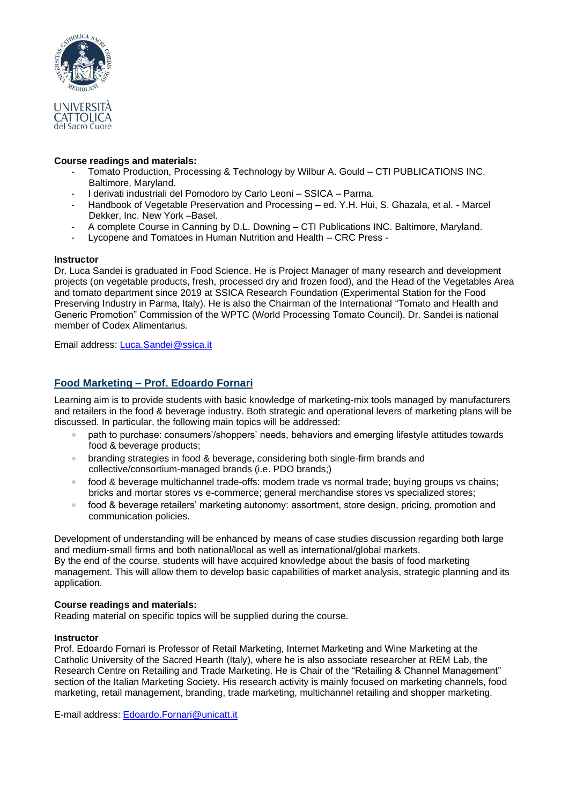

#### **Course readings and materials:**

- Tomato Production, Processing & Technology by Wilbur A. Gould CTI PUBLICATIONS INC. Baltimore, Maryland.
- I derivati industriali del Pomodoro by Carlo Leoni SSICA Parma.
- Handbook of Vegetable Preservation and Processing ed. Y.H. Hui, S. Ghazala, et al. Marcel Dekker, Inc. New York –Basel.
- A complete Course in Canning by D.L. Downing CTI Publications INC. Baltimore, Maryland.
- Lycopene and Tomatoes in Human Nutrition and Health CRC Press -

#### **Instructor**

Dr. Luca Sandei is graduated in Food Science. He is Project Manager of many research and development projects (on vegetable products, fresh, processed dry and frozen food), and the Head of the Vegetables Area and tomato department since 2019 at SSICA Research Foundation (Experimental Station for the Food Preserving Industry in Parma, Italy). He is also the Chairman of the International "Tomato and Health and Generic Promotion" Commission of the WPTC (World Processing Tomato Council). Dr. Sandei is national member of Codex Alimentarius.

Email address: [Luca.Sandei@ssica.it](mailto:Luca.Sandei@ssica.it)

## **Food Marketing – Prof. Edoardo Fornari**

Learning aim is to provide students with basic knowledge of marketing-mix tools managed by manufacturers and retailers in the food & beverage industry. Both strategic and operational levers of marketing plans will be discussed. In particular, the following main topics will be addressed:

- path to purchase: consumers'/shoppers' needs, behaviors and emerging lifestyle attitudes towards food & beverage products;
- branding strategies in food & beverage, considering both single-firm brands and collective/consortium-managed brands (i.e. PDO brands;)
- food & beverage multichannel trade-offs: modern trade vs normal trade; buying groups vs chains; bricks and mortar stores vs e-commerce; general merchandise stores vs specialized stores;
- food & beverage retailers' marketing autonomy: assortment, store design, pricing, promotion and communication policies.

Development of understanding will be enhanced by means of case studies discussion regarding both large and medium-small firms and both national/local as well as international/global markets. By the end of the course, students will have acquired knowledge about the basis of food marketing management. This will allow them to develop basic capabilities of market analysis, strategic planning and its application.

#### **Course readings and materials:**

Reading material on specific topics will be supplied during the course.

#### **Instructor**

Prof. Edoardo Fornari is Professor of Retail Marketing, Internet Marketing and Wine Marketing at the Catholic University of the Sacred Hearth (Italy), where he is also associate researcher at REM Lab, the Research Centre on Retailing and Trade Marketing. He is Chair of the "Retailing & Channel Management" section of the Italian Marketing Society. His research activity is mainly focused on marketing channels, food marketing, retail management, branding, trade marketing, multichannel retailing and shopper marketing.

E-mail address: [Edoardo.Fornari@unicatt.it](mailto:Edoardo.Fornari@unicatt.it)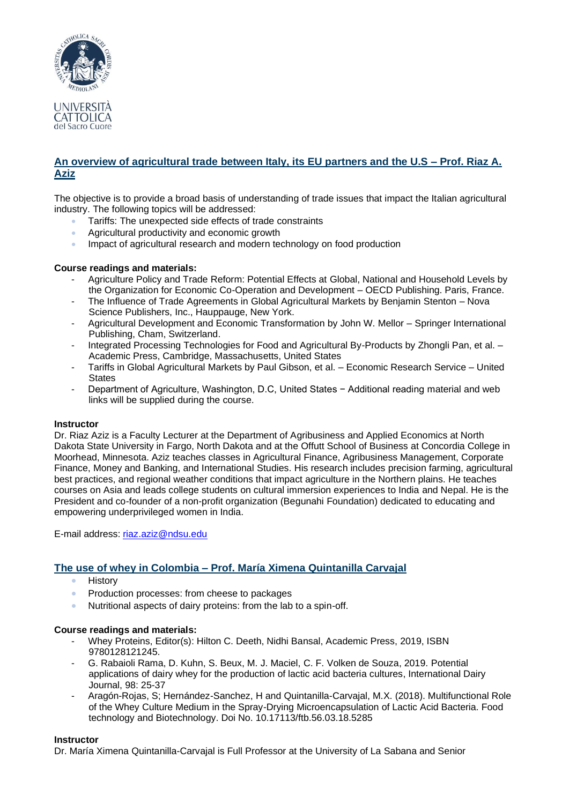

## **An overview of agricultural trade between Italy, its EU partners and the U.S – Prof. Riaz A. Aziz**

The objective is to provide a broad basis of understanding of trade issues that impact the Italian agricultural industry. The following topics will be addressed:

- Tariffs: The unexpected side effects of trade constraints
- Agricultural productivity and economic growth
- Impact of agricultural research and modern technology on food production

#### **Course readings and materials:**

- Agriculture Policy and Trade Reform: Potential Effects at Global, National and Household Levels by the Organization for Economic Co-Operation and Development – OECD Publishing. Paris, France.
- The Influence of Trade Agreements in Global Agricultural Markets by Benjamin Stenton Nova Science Publishers, Inc., Hauppauge, New York.
- Agricultural Development and Economic Transformation by John W. Mellor Springer International Publishing, Cham, Switzerland.
- Integrated Processing Technologies for Food and Agricultural By-Products by Zhongli Pan, et al. Academic Press, Cambridge, Massachusetts, United States
- Tariffs in Global Agricultural Markets by Paul Gibson, et al. Economic Research Service United **States**
- Department of Agriculture, Washington, D.C, United States − Additional reading material and web links will be supplied during the course.

#### **Instructor**

Dr. Riaz Aziz is a Faculty Lecturer at the Department of Agribusiness and Applied Economics at North Dakota State University in Fargo, North Dakota and at the Offutt School of Business at Concordia College in Moorhead, Minnesota. Aziz teaches classes in Agricultural Finance, Agribusiness Management, Corporate Finance, Money and Banking, and International Studies. His research includes precision farming, agricultural best practices, and regional weather conditions that impact agriculture in the Northern plains. He teaches courses on Asia and leads college students on cultural immersion experiences to India and Nepal. He is the President and co-founder of a non-profit organization (Begunahi Foundation) dedicated to educating and empowering underprivileged women in India.

E-mail address: [riaz.aziz@ndsu.edu](mailto:riaz.aziz@ndsu.edu)

## **The use of whey in Colombia – Prof. María Ximena Quintanilla Carvajal**

- History
- Production processes: from cheese to packages
- Nutritional aspects of dairy proteins: from the lab to a spin-off.

#### **Course readings and materials:**

- Whey Proteins, Editor(s): Hilton C. Deeth, Nidhi Bansal, Academic Press, 2019, ISBN 9780128121245.
- G. Rabaioli Rama, D. Kuhn, S. Beux, M. J. Maciel, C. F. Volken de Souza, 2019. Potential applications of dairy whey for the production of lactic acid bacteria cultures, International Dairy Journal, 98: 25-37
- Aragón-Rojas, S; Hernández-Sanchez, H and Quintanilla-Carvajal, M.X. (2018). Multifunctional Role of the Whey Culture Medium in the Spray-Drying Microencapsulation of Lactic Acid Bacteria. Food technology and Biotechnology. Doi No. 10.17113/ftb.56.03.18.5285

#### **Instructor**

Dr. María Ximena Quintanilla-Carvajal is Full Professor at the University of La Sabana and Senior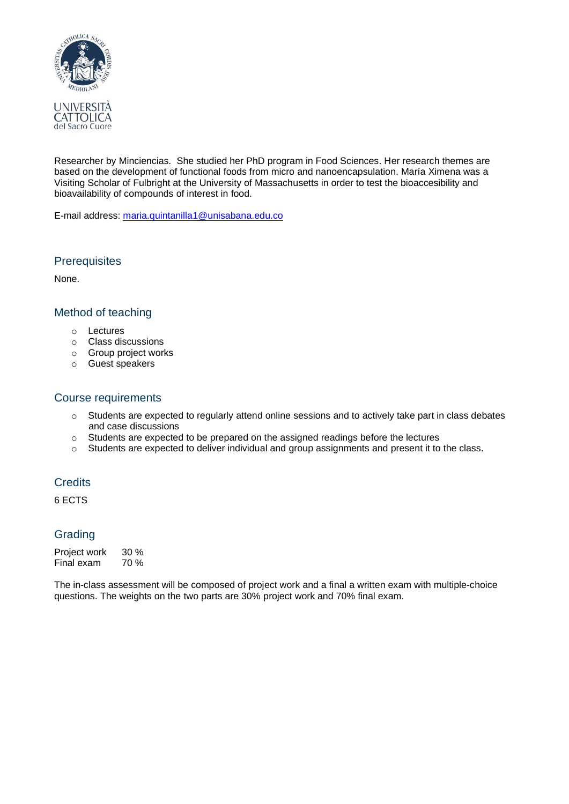

Researcher by Minciencias. She studied her PhD program in Food Sciences. Her research themes are based on the development of functional foods from micro and nanoencapsulation. María Ximena was a Visiting Scholar of Fulbright at the University of Massachusetts in order to test the bioaccesibility and bioavailability of compounds of interest in food.

E-mail address: [maria.quintanilla1@unisabana.edu.co](mailto:maria.quintanilla1@unisabana.edu.co)

## **Prerequisites**

None.

## Method of teaching

- o Lectures
- o Class discussions
- o Group project works
- o Guest speakers

## Course requirements

- $\circ$  Students are expected to regularly attend online sessions and to actively take part in class debates and case discussions
- o Students are expected to be prepared on the assigned readings before the lectures
- o Students are expected to deliver individual and group assignments and present it to the class.

## **Credits**

6 ECTS

### Grading

Project work 30 % Final exam 70 %

The in-class assessment will be composed of project work and a final a written exam with multiple-choice questions. The weights on the two parts are 30% project work and 70% final exam.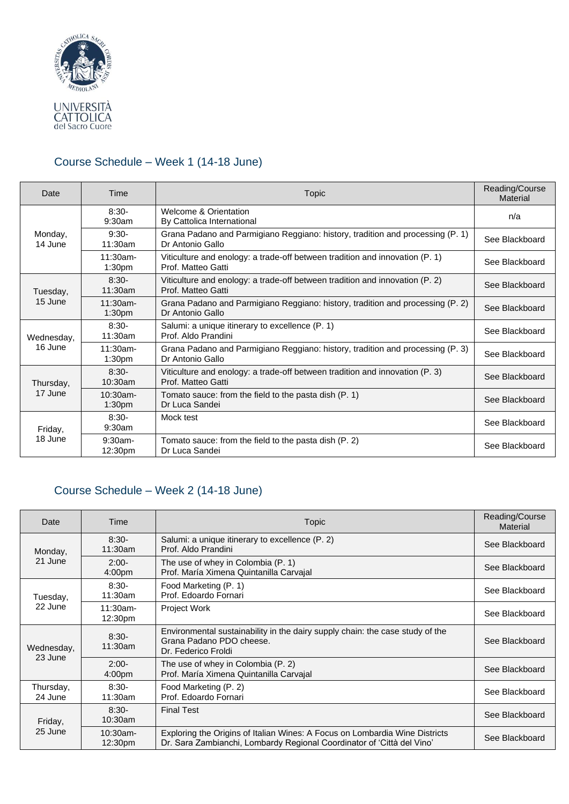

## Course Schedule – Week 1 (14-18 June)

| Date                  | Time                              | Topic                                                                                              | Reading/Course<br><b>Material</b> |
|-----------------------|-----------------------------------|----------------------------------------------------------------------------------------------------|-----------------------------------|
| Monday,<br>14 June    | $8:30-$<br>9:30am                 | Welcome & Orientation<br>By Cattolica International                                                | n/a                               |
|                       | $9:30-$<br>11:30am                | Grana Padano and Parmigiano Reggiano: history, tradition and processing (P. 1)<br>Dr Antonio Gallo | See Blackboard                    |
|                       | $11:30$ am-<br>1:30 <sub>pm</sub> | Viticulture and enology: a trade-off between tradition and innovation (P. 1)<br>Prof. Matteo Gatti | See Blackboard                    |
| Tuesday,<br>15 June   | $8:30-$<br>11:30am                | Viticulture and enology: a trade-off between tradition and innovation (P. 2)<br>Prof. Matteo Gatti | See Blackboard                    |
|                       | $11:30am -$<br>1:30 <sub>pm</sub> | Grana Padano and Parmigiano Reggiano: history, tradition and processing (P. 2)<br>Dr Antonio Gallo | See Blackboard                    |
| Wednesday,<br>16 June | $8:30-$<br>11:30am                | Salumi: a unique itinerary to excellence (P. 1)<br>Prof. Aldo Prandini                             | See Blackboard                    |
|                       | $11:30am -$<br>1:30 <sub>pm</sub> | Grana Padano and Parmigiano Reggiano: history, tradition and processing (P. 3)<br>Dr Antonio Gallo | See Blackboard                    |
| Thursday,<br>17 June  | $8:30-$<br>10:30am                | Viticulture and enology: a trade-off between tradition and innovation (P. 3)<br>Prof. Matteo Gatti | See Blackboard                    |
|                       | $10:30$ am-<br>1:30 <sub>pm</sub> | Tomato sauce: from the field to the pasta dish (P. 1)<br>Dr Luca Sandei                            | See Blackboard                    |
| Friday,<br>18 June    | $8:30-$<br>9:30am                 | Mock test                                                                                          | See Blackboard                    |
|                       | $9:30$ am-<br>12:30pm             | Tomato sauce: from the field to the pasta dish (P. 2)<br>Dr Luca Sandei                            | See Blackboard                    |

## Course Schedule – Week 2 (14-18 June)

| Date                  | Time                          | Topic                                                                                                                                                 | Reading/Course<br>Material |
|-----------------------|-------------------------------|-------------------------------------------------------------------------------------------------------------------------------------------------------|----------------------------|
| Monday,<br>21 June    | $8:30-$<br>11:30am            | Salumi: a unique itinerary to excellence (P. 2)<br>Prof. Aldo Prandini                                                                                | See Blackboard             |
|                       | $2:00-$<br>4:00 <sub>pm</sub> | The use of whey in Colombia (P. 1)<br>Prof. María Ximena Quintanilla Carvajal                                                                         | See Blackboard             |
| Tuesday,<br>22 June   | $8:30-$<br>11:30am            | Food Marketing (P. 1)<br>Prof. Edoardo Fornari                                                                                                        | See Blackboard             |
|                       | $11:30am -$<br>12:30pm        | Project Work                                                                                                                                          | See Blackboard             |
| Wednesday,<br>23 June | $8:30-$<br>11:30am            | Environmental sustainability in the dairy supply chain: the case study of the<br>Grana Padano PDO cheese.<br>Dr. Federico Froldi                      | See Blackboard             |
|                       | $2:00-$<br>4:00 <sub>pm</sub> | The use of whey in Colombia (P. 2)<br>Prof. María Ximena Quintanilla Carvajal                                                                         | See Blackboard             |
| Thursday,<br>24 June  | $8:30-$<br>$11:30$ am         | Food Marketing (P. 2)<br>Prof. Edoardo Fornari                                                                                                        | See Blackboard             |
| Friday,<br>25 June    | $8:30-$<br>$10:30$ am         | <b>Final Test</b>                                                                                                                                     | See Blackboard             |
|                       | $10:30$ am-<br>12:30pm        | Exploring the Origins of Italian Wines: A Focus on Lombardia Wine Districts<br>Dr. Sara Zambianchi, Lombardy Regional Coordinator of 'Città del Vino' | See Blackboard             |